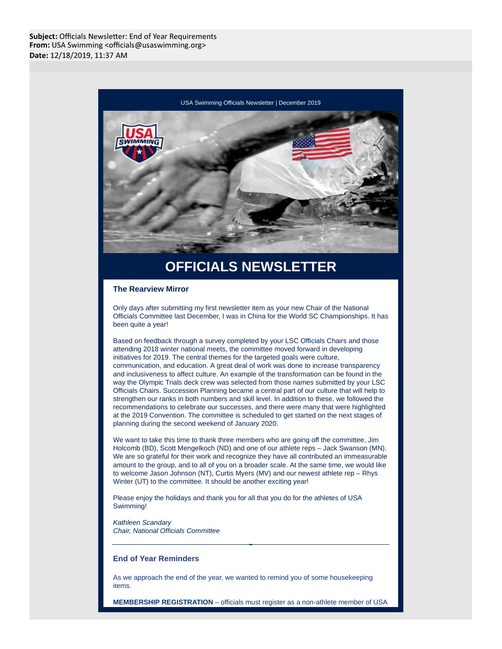

# **OFFICIALS NEWSLETTER**

### **The Rearview Mirror**

Only days after submitting my first newsletter item as your new Chair of the National Officials Committee last December, I was in China for the World SC Championships. It has been quite a year!

Based on feedback through a survey completed by your LSC Officials Chairs and those attending 2018 winter national meets, the committee moved forward in developing initiatives for 2019. The central themes for the targeted goals were culture, communication, and education. A great deal of work was done to increase transparency and inclusiveness to affect culture. An example of the transformation can be found in the way the Olympic Trials deck crew was selected from those names submitted by your LSC Officials Chairs. Succession Planning became a central part of our culture that will help to strengthen our ranks in both numbers and skill level. In addition to these, we followed the recommendations to celebrate our successes, and there were many that were highlighted at the 2019 Convention. The committee is scheduled to get started on the next stages of planning during the second weekend of January 2020.

We want to take this time to thank three members who are going off the committee, Jim Holcomb (BD), Scott Mengelkoch (ND) and one of our athlete reps – Jack Swanson (MN). We are so grateful for their work and recognize they have all contributed an immeasurable amount to the group, and to all of you on a broader scale. At the same time, we would like to welcome Jason Johnson (NT), Curtis Myers (MV) and our newest athlete rep – Rhys Winter (UT) to the committee. It should be another exciting year!

Please enjoy the holidays and thank you for all that you do for the athletes of USA Swimming!

Kathleen Scandary Chair, National Officials Committee

# **End of Year Reminders**

As we approach the end of the year, we wanted to remind you of some housekeeping items.

**MEMBERSHIP REGISTRATION** – officials must register as a non-athlete member of USA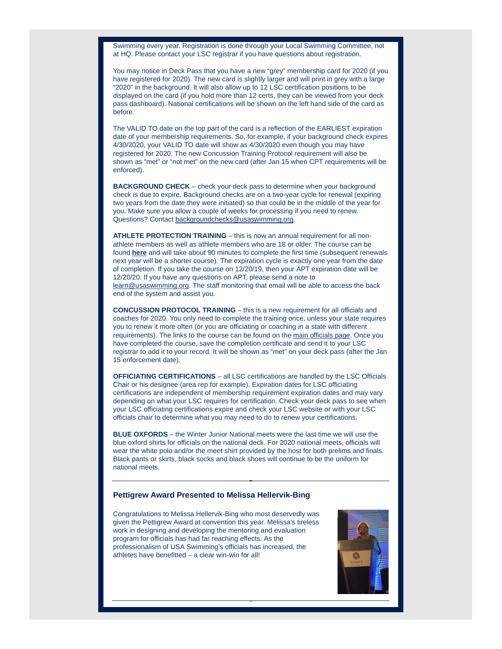Swimming every year. Registration is done through your Local Swimming Committee, not at HQ. Please contact your LSC registrar if you have questions about registration.

You may notice in Deck Pass that you have a new "grey" membership card for 2020 (if you have registered for 2020). The new card is slightly larger and will print in grey with a large "2020" in the background. It will also allow up to 12 LSC certification positions to be displayed on the card (if you hold more than 12 certs, they can be viewed from your deck pass dashboard). National certifications will be shown on the left hand side of the card as before.

The VALID TO date on the top part of the card is a reflection of the EARLIEST expiration date of your membership requirements. So, for example, if your background check expires 4/30/2020, your VALID TO date will show as 4/30/2020 even though you may have registered for 2020. The new Concussion Training Protocol requirement will also be shown as "met" or "not met" on the new card (after Jan 15 when CPT requirements will be enforced).

**BACKGROUND CHECK** – check your deck pass to determine when your background check is due to expire. Background checks are on a two-year cycle for renewal (expiring two years from the date they were initiated) so that could be in the middle of the year for you. Make sure you allow a couple of weeks for processing if you need to renew. Questions? Contact backgroundchecks@usaswimming.org.

**ATHLETE PROTECTION TRAINING** – this is now an annual requirement for all nonathlete members as well as athlete members who are 18 or older. The course can be found **[here](https://www.usaswimming.org/utility/landing-pages/safe-sport/apt)** and will take about 90 minutes to complete the first time (subsequent renewals next year will be a shorter course). The expiration cycle is exactly one year from the date of completion. If you take the course on 12/20/19, then your APT expiration date will be 12/20/20. If you have any questions on APT, please send a note to learn@usaswimming.org. The staff monitoring that email will be able to access the back end of the system and assist you.

**CONCUSSION PROTOCOL TRAINING** – this is a new requirement for all officials and coaches for 2020. You only need to complete the training once, unless your state requires you to renew it more often (or you are officiating or coaching in a state with different requirements). The links to the course can be found on the [main officials page.](https://www.usaswimming.org/officials) Once you have completed the course, save the completion certificate and send it to your LSC registrar to add it to your record. It will be shown as "met" on your deck pass (after the Jan 15 enforcement date).

**OFFICIATING CERTIFICATIONS** – all LSC certifications are handled by the LSC Officials Chair or his designee (area rep for example). Expiration dates for LSC officiating certifications are independent of membership requirement expiration dates and may vary depending on what your LSC requires for certification. Check your deck pass to see when your LSC officiating certifications expire and check your LSC website or with your LSC officials chair to determine what you may need to do to renew your certifications.

**BLUE OXFORDS** – the Winter Junior National meets were the last time we will use the blue oxford shirts for officials on the national deck. For 2020 national meets, officials will wear the white polo and/or the meet shirt provided by the host for both prelims and finals. Black pants or skirts, black socks and black shoes will continue to be the uniform for national meets.

#### **Pettigrew Award Presented to Melissa Hellervik-Bing**

Congratulations to Melissa Hellervik-Bing who most deservedly was given the Pettigrew Award at convention this year. Melissa's tireless work in designing and developing the mentoring and evaluation program for officials has had far reaching effects. As the professionalism of USA Swimming's officials has increased, the athletes have benefitted – a clear win-win for all!